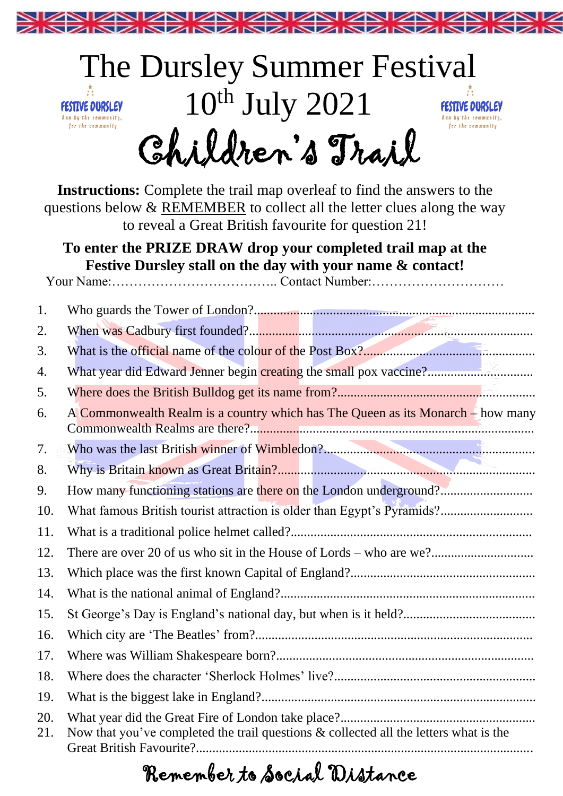

## The Dursley Summer Festival  $10^{th}$  July  $2021$ FESTIVE DURSLEY FESTIVE DURSLEY Run by the community, Run by the community, for the community for the community Children's Trail

**Instructions:** Complete the trail map overleaf to find the answers to the questions below & REMEMBER to collect all the letter clues along the way to reveal a Great British favourite for question 21!

## **To enter the PRIZE DRAW drop your completed trail map at the Festive Dursley stall on the day with your name & contact!**

Your Name:……………………………….. Contact Number:…………………………

| 1.         |                                                                                          |
|------------|------------------------------------------------------------------------------------------|
| 2.         |                                                                                          |
| 3.         |                                                                                          |
| 4.         | What year did Edward Jenner begin creating the small pox vaccine?                        |
| 5.         |                                                                                          |
| 6.         | A Commonwealth Realm is a country which has The Queen as its Monarch – how many          |
| 7.         |                                                                                          |
| 8.         |                                                                                          |
| 9.         | How many functioning stations are there on the London underground?                       |
| 10.        | What famous British tourist attraction is older than Egypt's Pyramids?                   |
| 11.        |                                                                                          |
| 12.        |                                                                                          |
| 13.        |                                                                                          |
| 14.        |                                                                                          |
| 15.        |                                                                                          |
| 16.        |                                                                                          |
| 17.        |                                                                                          |
| 18.        |                                                                                          |
| 19.        |                                                                                          |
| 20.<br>21. | Now that you've completed the trail questions $\&$ collected all the letters what is the |

## Remember to Social Distance